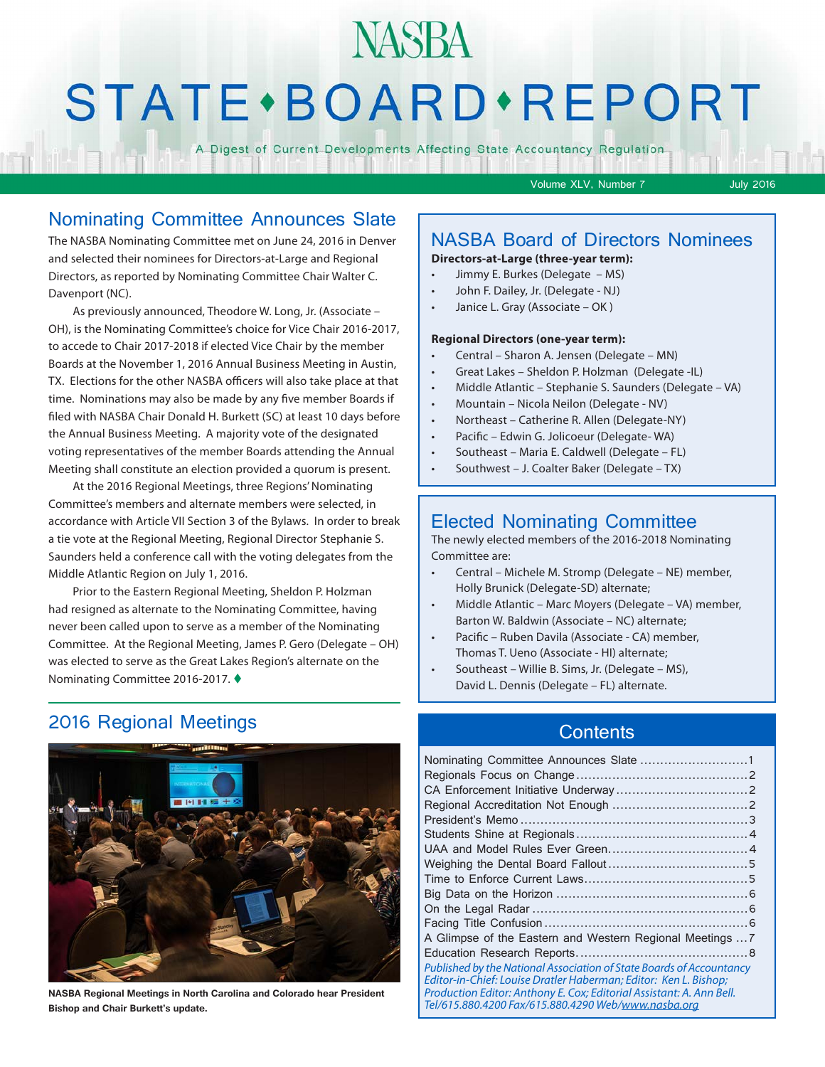## **NASBA STATE** · BOARD · REPORT

A Digest of Current Developments Affecting State Accountancy Regulation

Volume XLV, Number 7 July 2016

#### Nominating Committee Announces Slate

The NASBA Nominating Committee met on June 24, 2016 in Denver and selected their nominees for Directors-at-Large and Regional Directors, as reported by Nominating Committee Chair Walter C. Davenport (NC).

As previously announced, Theodore W. Long, Jr. (Associate – OH), is the Nominating Committee's choice for Vice Chair 2016-2017, to accede to Chair 2017-2018 if elected Vice Chair by the member Boards at the November 1, 2016 Annual Business Meeting in Austin, TX. Elections for the other NASBA officers will also take place at that time. Nominations may also be made by any five member Boards if filed with NASBA Chair Donald H. Burkett (SC) at least 10 days before the Annual Business Meeting. A majority vote of the designated voting representatives of the member Boards attending the Annual Meeting shall constitute an election provided a quorum is present.

At the 2016 Regional Meetings, three Regions' Nominating Committee's members and alternate members were selected, in accordance with Article VII Section 3 of the Bylaws. In order to break a tie vote at the Regional Meeting, Regional Director Stephanie S. Saunders held a conference call with the voting delegates from the Middle Atlantic Region on July 1, 2016.

Prior to the Eastern Regional Meeting, Sheldon P. Holzman had resigned as alternate to the Nominating Committee, having never been called upon to serve as a member of the Nominating Committee. At the Regional Meeting, James P. Gero (Delegate – OH) was elected to serve as the Great Lakes Region's alternate on the Nominating Committee 2016-2017. ♦

#### 2016 Regional Meetings



**NASBA Regional Meetings in North Carolina and Colorado hear President Bishop and Chair Burkett's update.**

#### NASBA Board of Directors Nominees

**Directors-at-Large (three-year term):**

- Jimmy E. Burkes (Delegate MS)
- John F. Dailey, Jr. (Delegate NJ)
- Janice L. Gray (Associate OK )

#### **Regional Directors (one-year term):**

- Central Sharon A. Jensen (Delegate MN)
- Great Lakes Sheldon P. Holzman (Delegate -IL)
- Middle Atlantic Stephanie S. Saunders (Delegate VA)
- Mountain Nicola Neilon (Delegate NV)
- Northeast Catherine R. Allen (Delegate-NY)
- Pacific Edwin G. Jolicoeur (Delegate- WA)
- Southeast Maria E. Caldwell (Delegate FL)
- Southwest J. Coalter Baker (Delegate TX)

#### Elected Nominating Committee

The newly elected members of the 2016-2018 Nominating Committee are:

- Central Michele M. Stromp (Delegate NE) member, Holly Brunick (Delegate-SD) alternate;
- Middle Atlantic Marc Moyers (Delegate VA) member, Barton W. Baldwin (Associate – NC) alternate;
- Pacific Ruben Davila (Associate CA) member, Thomas T. Ueno (Associate - HI) alternate;
- Southeast Willie B. Sims, Jr. (Delegate MS), David L. Dennis (Delegate – FL) alternate.

#### **Contents**

| Nominating Committee Announces Slate 1                                                                                                                                                                                                                                  |  |
|-------------------------------------------------------------------------------------------------------------------------------------------------------------------------------------------------------------------------------------------------------------------------|--|
|                                                                                                                                                                                                                                                                         |  |
|                                                                                                                                                                                                                                                                         |  |
|                                                                                                                                                                                                                                                                         |  |
|                                                                                                                                                                                                                                                                         |  |
|                                                                                                                                                                                                                                                                         |  |
|                                                                                                                                                                                                                                                                         |  |
|                                                                                                                                                                                                                                                                         |  |
|                                                                                                                                                                                                                                                                         |  |
|                                                                                                                                                                                                                                                                         |  |
|                                                                                                                                                                                                                                                                         |  |
|                                                                                                                                                                                                                                                                         |  |
| A Glimpse of the Eastern and Western Regional Meetings  7                                                                                                                                                                                                               |  |
|                                                                                                                                                                                                                                                                         |  |
| Published by the National Association of State Boards of Accountancy<br>Editor-in-Chief: Louise Dratler Haberman: Editor: Ken L. Bishop:<br>Production Editor: Anthony E. Cox; Editorial Assistant: A. Ann Bell.<br>Tel/615.880.4200 Fax/615.880.4290 Web/www.nasba.org |  |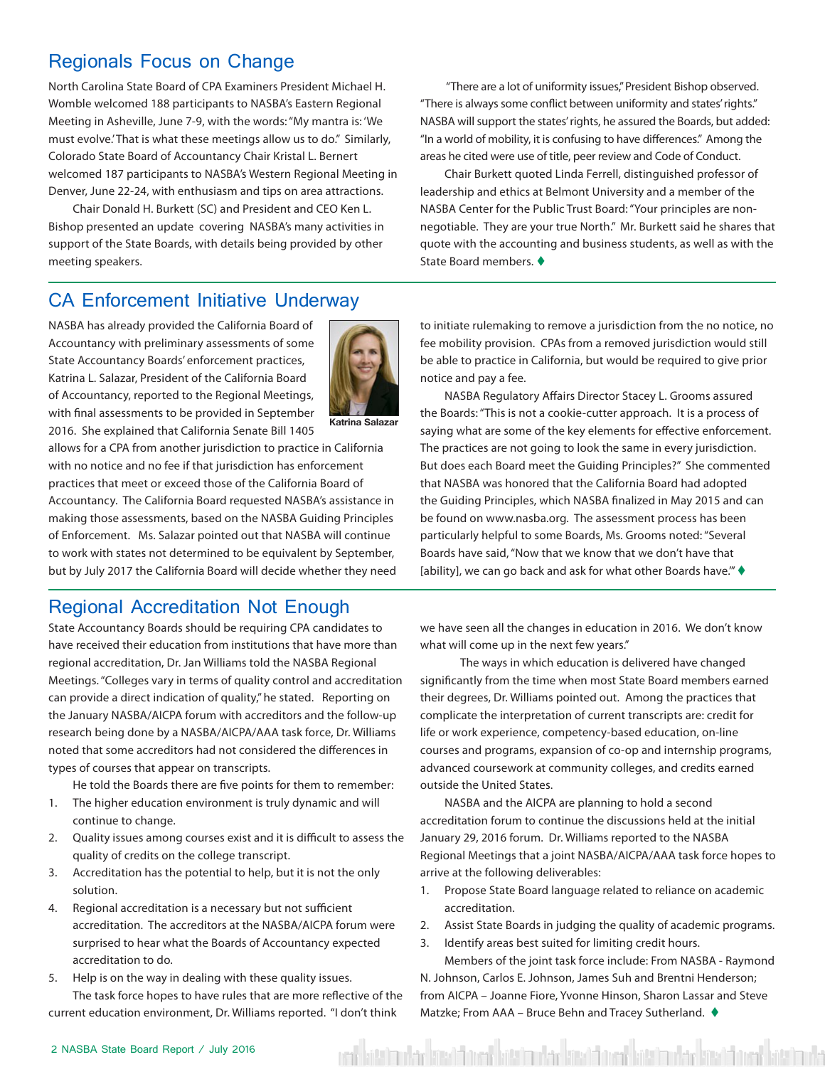#### Regionals Focus on Change

North Carolina State Board of CPA Examiners President Michael H. Womble welcomed 188 participants to NASBA's Eastern Regional Meeting in Asheville, June 7-9, with the words: "My mantra is: 'We must evolve.' That is what these meetings allow us to do." Similarly, Colorado State Board of Accountancy Chair Kristal L. Bernert welcomed 187 participants to NASBA's Western Regional Meeting in Denver, June 22-24, with enthusiasm and tips on area attractions.

Chair Donald H. Burkett (SC) and President and CEO Ken L. Bishop presented an update covering NASBA's many activities in support of the State Boards, with details being provided by other meeting speakers.

 "There are a lot of uniformity issues," President Bishop observed. "There is always some conflict between uniformity and states' rights." NASBA will support the states' rights, he assured the Boards, but added: "In a world of mobility, it is confusing to have differences." Among the areas he cited were use of title, peer review and Code of Conduct.

Chair Burkett quoted Linda Ferrell, distinguished professor of leadership and ethics at Belmont University and a member of the NASBA Center for the Public Trust Board: "Your principles are nonnegotiable. They are your true North." Mr. Burkett said he shares that quote with the accounting and business students, as well as with the State Board members.  $\blacklozenge$ 

#### CA Enforcement Initiative Underway

NASBA has already provided the California Board of Accountancy with preliminary assessments of some State Accountancy Boards' enforcement practices, Katrina L. Salazar, President of the California Board of Accountancy, reported to the Regional Meetings, with final assessments to be provided in September 2016. She explained that California Senate Bill 1405



**Katrina Salazar**

allows for a CPA from another jurisdiction to practice in California with no notice and no fee if that jurisdiction has enforcement practices that meet or exceed those of the California Board of Accountancy. The California Board requested NASBA's assistance in making those assessments, based on the NASBA Guiding Principles of Enforcement. Ms. Salazar pointed out that NASBA will continue to work with states not determined to be equivalent by September, but by July 2017 the California Board will decide whether they need

#### Regional Accreditation Not Enough

State Accountancy Boards should be requiring CPA candidates to have received their education from institutions that have more than regional accreditation, Dr. Jan Williams told the NASBA Regional Meetings. "Colleges vary in terms of quality control and accreditation can provide a direct indication of quality," he stated. Reporting on the January NASBA/AICPA forum with accreditors and the follow-up research being done by a NASBA/AICPA/AAA task force, Dr. Williams noted that some accreditors had not considered the differences in types of courses that appear on transcripts.

He told the Boards there are five points for them to remember:

- 1. The higher education environment is truly dynamic and will continue to change.
- 2. Quality issues among courses exist and it is difficult to assess the quality of credits on the college transcript.
- 3. Accreditation has the potential to help, but it is not the only solution.
- 4. Regional accreditation is a necessary but not sufficient accreditation. The accreditors at the NASBA/AICPA forum were surprised to hear what the Boards of Accountancy expected accreditation to do.
- 5. Help is on the way in dealing with these quality issues. The task force hopes to have rules that are more reflective of the current education environment, Dr. Williams reported. "I don't think

to initiate rulemaking to remove a jurisdiction from the no notice, no fee mobility provision. CPAs from a removed jurisdiction would still be able to practice in California, but would be required to give prior notice and pay a fee.

NASBA Regulatory Affairs Director Stacey L. Grooms assured the Boards: "This is not a cookie-cutter approach. It is a process of saying what are some of the key elements for effective enforcement. The practices are not going to look the same in every jurisdiction. But does each Board meet the Guiding Principles?" She commented that NASBA was honored that the California Board had adopted the Guiding Principles, which NASBA finalized in May 2015 and can be found on www.nasba.org. The assessment process has been particularly helpful to some Boards, Ms. Grooms noted: "Several Boards have said, "Now that we know that we don't have that [ability], we can go back and ask for what other Boards have.""  $\blacklozenge$ 

we have seen all the changes in education in 2016. We don't know what will come up in the next few years."

 The ways in which education is delivered have changed significantly from the time when most State Board members earned their degrees, Dr. Williams pointed out. Among the practices that complicate the interpretation of current transcripts are: credit for life or work experience, competency-based education, on-line courses and programs, expansion of co-op and internship programs, advanced coursework at community colleges, and credits earned outside the United States.

NASBA and the AICPA are planning to hold a second accreditation forum to continue the discussions held at the initial January 29, 2016 forum. Dr. Williams reported to the NASBA Regional Meetings that a joint NASBA/AICPA/AAA task force hopes to arrive at the following deliverables:

- 1. Propose State Board language related to reliance on academic accreditation.
- 2. Assist State Boards in judging the quality of academic programs.
- 3. Identify areas best suited for limiting credit hours.

Members of the joint task force include: From NASBA - Raymond N. Johnson, Carlos E. Johnson, James Suh and Brentni Henderson; from AICPA – Joanne Fiore, Yvonne Hinson, Sharon Lassar and Steve Matzke; From AAA – Bruce Behn and Tracey Sutherland.  $\blacklozenge$ 

rent hatsimular kasat furrat hatsimular kasat furrat hatsimular kasat furrat hatsimula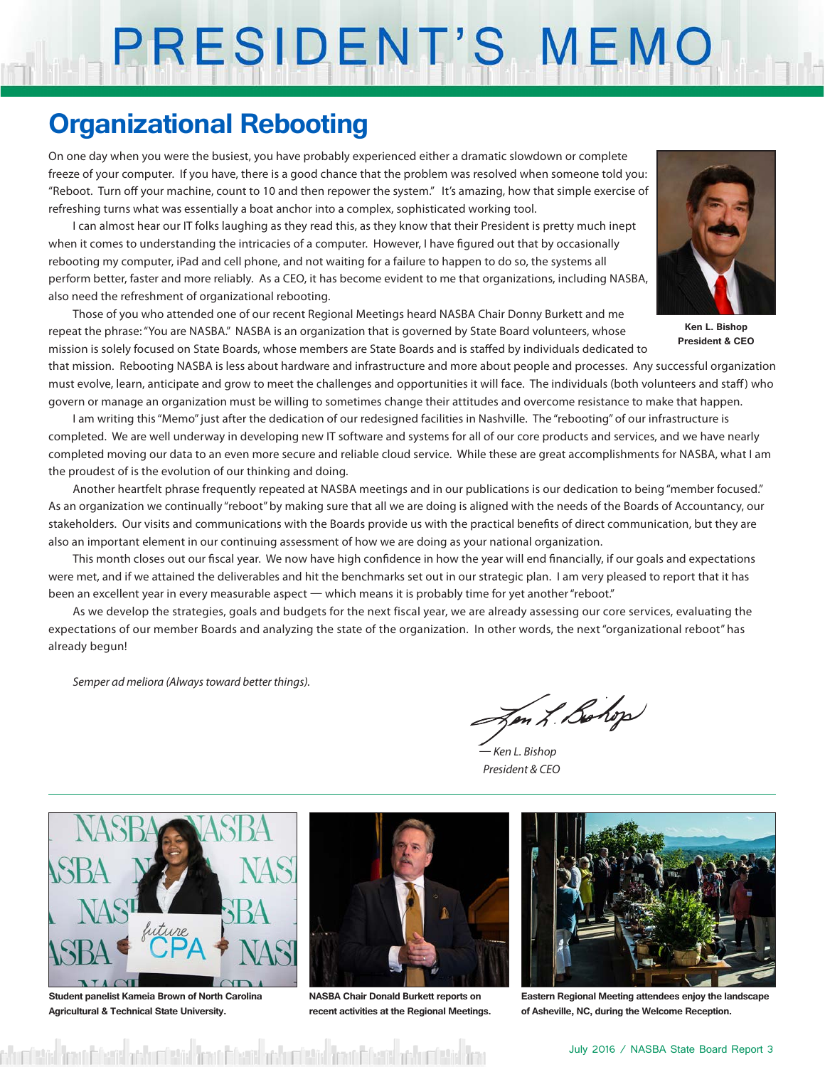# PRESIDENT'S MEMO

## **Organizational Rebooting**

On one day when you were the busiest, you have probably experienced either a dramatic slowdown or complete freeze of your computer. If you have, there is a good chance that the problem was resolved when someone told you: "Reboot. Turn off your machine, count to 10 and then repower the system." It's amazing, how that simple exercise of refreshing turns what was essentially a boat anchor into a complex, sophisticated working tool.

I can almost hear our IT folks laughing as they read this, as they know that their President is pretty much inept when it comes to understanding the intricacies of a computer. However, I have figured out that by occasionally rebooting my computer, iPad and cell phone, and not waiting for a failure to happen to do so, the systems all perform better, faster and more reliably. As a CEO, it has become evident to me that organizations, including NASBA, also need the refreshment of organizational rebooting.

Those of you who attended one of our recent Regional Meetings heard NASBA Chair Donny Burkett and me repeat the phrase: "You are NASBA." NASBA is an organization that is governed by State Board volunteers, whose mission is solely focused on State Boards, whose members are State Boards and is staffed by individuals dedicated to



**Ken L. Bishop President & CEO**

that mission. Rebooting NASBA is less about hardware and infrastructure and more about people and processes. Any successful organization must evolve, learn, anticipate and grow to meet the challenges and opportunities it will face. The individuals (both volunteers and staff ) who govern or manage an organization must be willing to sometimes change their attitudes and overcome resistance to make that happen.

I am writing this "Memo" just after the dedication of our redesigned facilities in Nashville. The "rebooting" of our infrastructure is completed. We are well underway in developing new IT software and systems for all of our core products and services, and we have nearly completed moving our data to an even more secure and reliable cloud service. While these are great accomplishments for NASBA, what I am the proudest of is the evolution of our thinking and doing.

Another heartfelt phrase frequently repeated at NASBA meetings and in our publications is our dedication to being "member focused." As an organization we continually "reboot" by making sure that all we are doing is aligned with the needs of the Boards of Accountancy, our stakeholders. Our visits and communications with the Boards provide us with the practical benefits of direct communication, but they are also an important element in our continuing assessment of how we are doing as your national organization.

This month closes out our fiscal year. We now have high confidence in how the year will end financially, if our goals and expectations were met, and if we attained the deliverables and hit the benchmarks set out in our strategic plan. I am very pleased to report that it has been an excellent year in every measurable aspect — which means it is probably time for yet another "reboot."

As we develop the strategies, goals and budgets for the next fiscal year, we are already assessing our core services, evaluating the expectations of our member Boards and analyzing the state of the organization. In other words, the next "organizational reboot" has already begun!

*Semper ad meliora (Always toward better things).*

Jen L Bohop

*— Ken L. Bishop President & CEO*



**Student panelist Kameia Brown of North Carolina Agricultural & Technical State University.**

feir <mark>imitheis thirtistic</mark>



**NASBA Chair Donald Burkett reports on recent activities at the Regional Meetings.**



**Eastern Regional Meeting attendees enjoy the landscape of Asheville, NC, during the Welcome Reception.**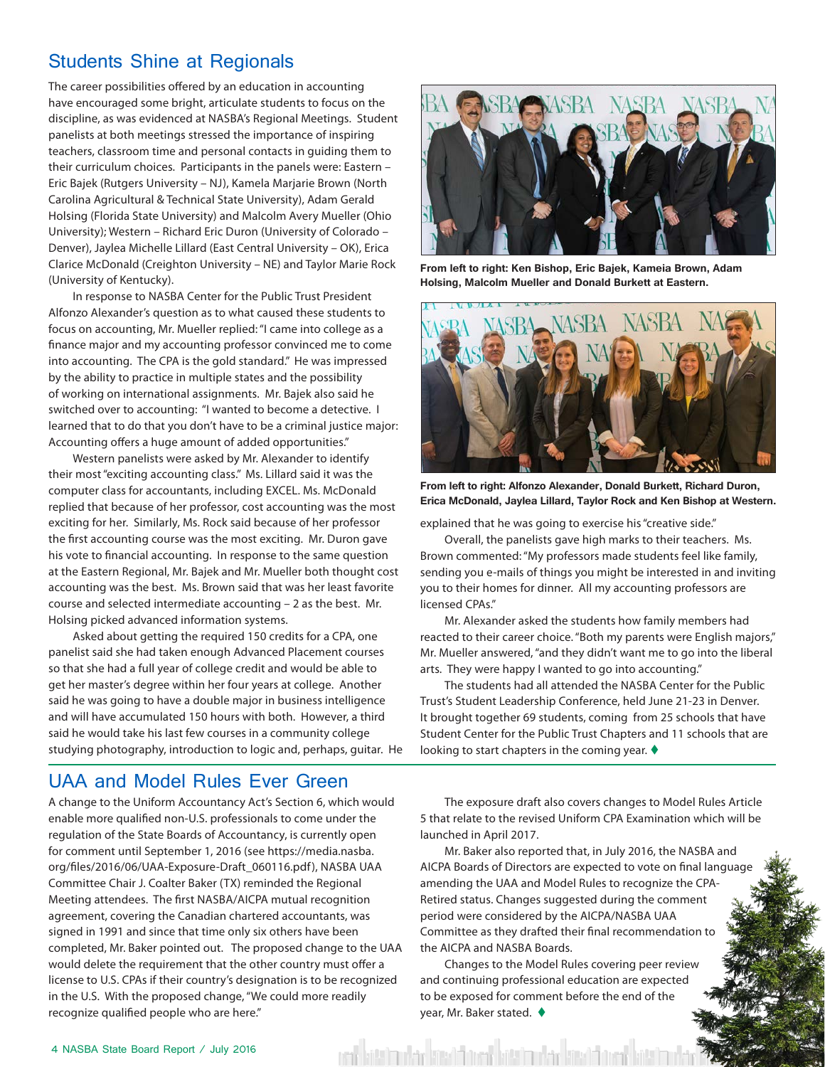#### Students Shine at Regionals

The career possibilities offered by an education in accounting have encouraged some bright, articulate students to focus on the discipline, as was evidenced at NASBA's Regional Meetings. Student panelists at both meetings stressed the importance of inspiring teachers, classroom time and personal contacts in guiding them to their curriculum choices. Participants in the panels were: Eastern – Eric Bajek (Rutgers University – NJ), Kamela Marjarie Brown (North Carolina Agricultural & Technical State University), Adam Gerald Holsing (Florida State University) and Malcolm Avery Mueller (Ohio University); Western – Richard Eric Duron (University of Colorado – Denver), Jaylea Michelle Lillard (East Central University – OK), Erica Clarice McDonald (Creighton University – NE) and Taylor Marie Rock (University of Kentucky).

In response to NASBA Center for the Public Trust President Alfonzo Alexander's question as to what caused these students to focus on accounting, Mr. Mueller replied: "I came into college as a finance major and my accounting professor convinced me to come into accounting. The CPA is the gold standard." He was impressed by the ability to practice in multiple states and the possibility of working on international assignments. Mr. Bajek also said he switched over to accounting: "I wanted to become a detective. I learned that to do that you don't have to be a criminal justice major: Accounting offers a huge amount of added opportunities."

Western panelists were asked by Mr. Alexander to identify their most "exciting accounting class." Ms. Lillard said it was the computer class for accountants, including EXCEL. Ms. McDonald replied that because of her professor, cost accounting was the most exciting for her. Similarly, Ms. Rock said because of her professor the first accounting course was the most exciting. Mr. Duron gave his vote to financial accounting. In response to the same question at the Eastern Regional, Mr. Bajek and Mr. Mueller both thought cost accounting was the best. Ms. Brown said that was her least favorite course and selected intermediate accounting – 2 as the best. Mr. Holsing picked advanced information systems.

Asked about getting the required 150 credits for a CPA, one panelist said she had taken enough Advanced Placement courses so that she had a full year of college credit and would be able to get her master's degree within her four years at college. Another said he was going to have a double major in business intelligence and will have accumulated 150 hours with both. However, a third said he would take his last few courses in a community college studying photography, introduction to logic and, perhaps, guitar. He



**From left to right: Ken Bishop, Eric Bajek, Kameia Brown, Adam Holsing, Malcolm Mueller and Donald Burkett at Eastern.** 



**From left to right: Alfonzo Alexander, Donald Burkett, Richard Duron, Erica McDonald, Jaylea Lillard, Taylor Rock and Ken Bishop at Western.** 

explained that he was going to exercise his "creative side."

Overall, the panelists gave high marks to their teachers. Ms. Brown commented: "My professors made students feel like family, sending you e-mails of things you might be interested in and inviting you to their homes for dinner. All my accounting professors are licensed CPAs."

Mr. Alexander asked the students how family members had reacted to their career choice. "Both my parents were English majors," Mr. Mueller answered, "and they didn't want me to go into the liberal arts. They were happy I wanted to go into accounting."

The students had all attended the NASBA Center for the Public Trust's Student Leadership Conference, held June 21-23 in Denver. It brought together 69 students, coming from 25 schools that have Student Center for the Public Trust Chapters and 11 schools that are looking to start chapters in the coming year.  $\blacklozenge$ 

#### UAA and Model Rules Ever Green

A change to the Uniform Accountancy Act's Section 6, which would enable more qualified non-U.S. professionals to come under the regulation of the State Boards of Accountancy, is currently open for comment until September 1, 2016 (see https://media.nasba. org/files/2016/06/UAA-Exposure-Draft\_060116.pdf ), NASBA UAA Committee Chair J. Coalter Baker (TX) reminded the Regional Meeting attendees. The first NASBA/AICPA mutual recognition agreement, covering the Canadian chartered accountants, was signed in 1991 and since that time only six others have been completed, Mr. Baker pointed out. The proposed change to the UAA would delete the requirement that the other country must offer a license to U.S. CPAs if their country's designation is to be recognized in the U.S. With the proposed change, "We could more readily recognize qualified people who are here."

The exposure draft also covers changes to Model Rules Article 5 that relate to the revised Uniform CPA Examination which will be launched in April 2017.

Mr. Baker also reported that, in July 2016, the NASBA and AICPA Boards of Directors are expected to vote on final languag amending the UAA and Model Rules to recognize the CPA-Retired status. Changes suggested during the comment period were considered by the AICPA/NASBA UAA Committee as they drafted their final recommendation to the AICPA and NASBA Boards.

Changes to the Model Rules covering peer review and continuing professional education are expected to be exposed for comment before the end of the year, Mr. Baker stated.  $\blacklozenge$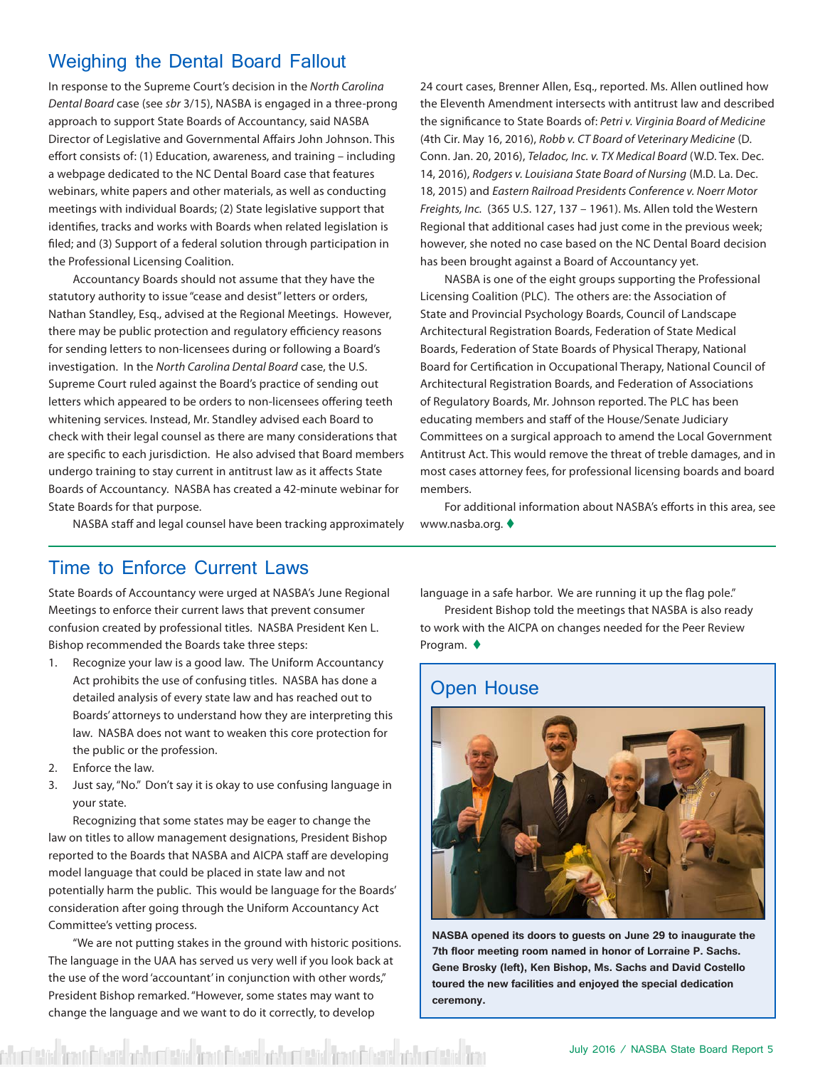#### Weighing the Dental Board Fallout

In response to the Supreme Court's decision in the *North Carolina Dental Board* case (see *sbr* 3/15), NASBA is engaged in a three-prong approach to support State Boards of Accountancy, said NASBA Director of Legislative and Governmental Affairs John Johnson. This effort consists of: (1) Education, awareness, and training – including a webpage dedicated to the NC Dental Board case that features webinars, white papers and other materials, as well as conducting meetings with individual Boards; (2) State legislative support that identifies, tracks and works with Boards when related legislation is filed; and (3) Support of a federal solution through participation in the Professional Licensing Coalition.

Accountancy Boards should not assume that they have the statutory authority to issue "cease and desist" letters or orders, Nathan Standley, Esq., advised at the Regional Meetings. However, there may be public protection and regulatory efficiency reasons for sending letters to non-licensees during or following a Board's investigation. In the *North Carolina Dental Board* case, the U.S. Supreme Court ruled against the Board's practice of sending out letters which appeared to be orders to non-licensees offering teeth whitening services. Instead, Mr. Standley advised each Board to check with their legal counsel as there are many considerations that are specific to each jurisdiction. He also advised that Board members undergo training to stay current in antitrust law as it affects State Boards of Accountancy. NASBA has created a 42-minute webinar for State Boards for that purpose.

24 court cases, Brenner Allen, Esq., reported. Ms. Allen outlined how the Eleventh Amendment intersects with antitrust law and described the significance to State Boards of: *Petri v. Virginia Board of Medicine*  (4th Cir. May 16, 2016), *Robb v. CT Board of Veterinary Medicine* (D. Conn. Jan. 20, 2016), *Teladoc, Inc. v. TX Medical Board* (W.D. Tex. Dec. 14, 2016), *Rodgers v. Louisiana State Board of Nursing* (M.D. La. Dec. 18, 2015) and *Eastern Railroad Presidents Conference v. Noerr Motor Freights, Inc.* (365 U.S. 127, 137 – 1961). Ms. Allen told the Western Regional that additional cases had just come in the previous week; however, she noted no case based on the NC Dental Board decision has been brought against a Board of Accountancy yet.

NASBA is one of the eight groups supporting the Professional Licensing Coalition (PLC). The others are: the Association of State and Provincial Psychology Boards, Council of Landscape Architectural Registration Boards, Federation of State Medical Boards, Federation of State Boards of Physical Therapy, National Board for Certification in Occupational Therapy, National Council of Architectural Registration Boards, and Federation of Associations of Regulatory Boards, Mr. Johnson reported. The PLC has been educating members and staff of the House/Senate Judiciary Committees on a surgical approach to amend the Local Government Antitrust Act. This would remove the threat of treble damages, and in most cases attorney fees, for professional licensing boards and board members.

For additional information about NASBA's efforts in this area, see www.nasba.org.

#### NASBA staff and legal counsel have been tracking approximately

#### Time to Enforce Current Laws

State Boards of Accountancy were urged at NASBA's June Regional Meetings to enforce their current laws that prevent consumer confusion created by professional titles. NASBA President Ken L. Bishop recommended the Boards take three steps:

- 1. Recognize your law is a good law. The Uniform Accountancy Act prohibits the use of confusing titles. NASBA has done a detailed analysis of every state law and has reached out to Boards' attorneys to understand how they are interpreting this law. NASBA does not want to weaken this core protection for the public or the profession.
- 2. Enforce the law.
- 3. Just say, "No." Don't say it is okay to use confusing language in your state.

Recognizing that some states may be eager to change the law on titles to allow management designations, President Bishop reported to the Boards that NASBA and AICPA staff are developing model language that could be placed in state law and not potentially harm the public. This would be language for the Boards' consideration after going through the Uniform Accountancy Act Committee's vetting process.

"We are not putting stakes in the ground with historic positions. The language in the UAA has served us very well if you look back at the use of the word 'accountant' in conjunction with other words," President Bishop remarked. "However, some states may want to change the language and we want to do it correctly, to develop

d Brand Charles adduct table Brand Charles adduct table Charles Charles adduct table Bra

language in a safe harbor. We are running it up the flag pole."

President Bishop told the meetings that NASBA is also ready to work with the AICPA on changes needed for the Peer Review Program.  $\blacklozenge$ 

#### Open House



**NASBA opened its doors to guests on June 29 to inaugurate the 7th floor meeting room named in honor of Lorraine P. Sachs. Gene Brosky (left), Ken Bishop, Ms. Sachs and David Costello toured the new facilities and enjoyed the special dedication ceremony.**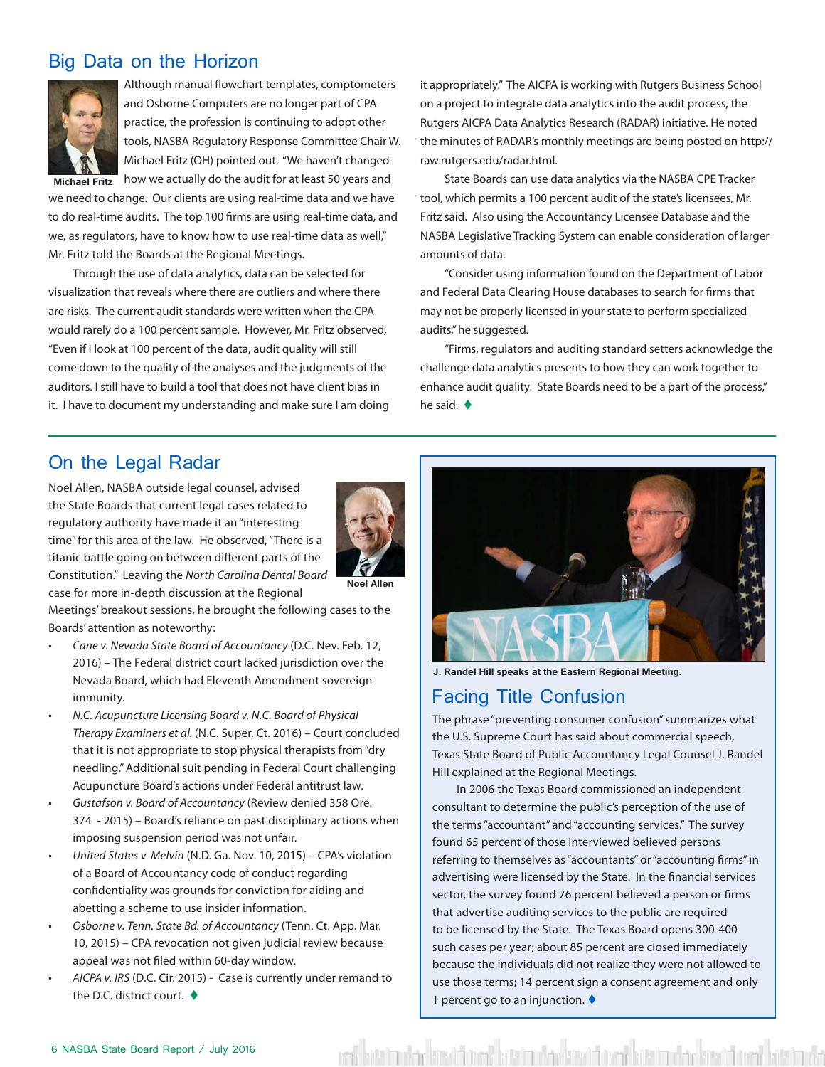#### Big Data on the Horizon



Although manual flowchart templates, comptometers and Osborne Computers are no longer part of CPA practice, the profession is continuing to adopt other tools, NASBA Regulatory Response Committee Chair W. Michael Fritz (OH) pointed out. "We haven't changed

**Michael Fritz** how we actually do the audit for at least 50 years and we need to change. Our clients are using real-time data and we have to do real-time audits. The top 100 firms are using real-time data, and we, as regulators, have to know how to use real-time data as well," Mr. Fritz told the Boards at the Regional Meetings.

Through the use of data analytics, data can be selected for visualization that reveals where there are outliers and where there are risks. The current audit standards were written when the CPA would rarely do a 100 percent sample. However, Mr. Fritz observed, "Even if I look at 100 percent of the data, audit quality will still come down to the quality of the analyses and the judgments of the auditors. I still have to build a tool that does not have client bias in it. I have to document my understanding and make sure I am doing it appropriately." The AICPA is working with Rutgers Business School on a project to integrate data analytics into the audit process, the Rutgers AICPA Data Analytics Research (RADAR) initiative. He noted the minutes of RADAR's monthly meetings are being posted on http:// raw.rutgers.edu/radar.html.

State Boards can use data analytics via the NASBA CPE Tracker tool, which permits a 100 percent audit of the state's licensees, Mr. Fritz said. Also using the Accountancy Licensee Database and the NASBA Legislative Tracking System can enable consideration of larger amounts of data.

"Consider using information found on the Department of Labor and Federal Data Clearing House databases to search for firms that may not be properly licensed in your state to perform specialized audits," he suggested.

"Firms, regulators and auditing standard setters acknowledge the challenge data analytics presents to how they can work together to enhance audit quality. State Boards need to be a part of the process," he said.  $\blacklozenge$ 

#### On the Legal Radar

Noel Allen, NASBA outside legal counsel, advised the State Boards that current legal cases related to regulatory authority have made it an "interesting time" for this area of the law. He observed, "There is a titanic battle going on between different parts of the Constitution." Leaving the *North Carolina Dental Board*  case for more in-depth discussion at the Regional



**Noel Allen**

Meetings' breakout sessions, he brought the following cases to the Boards' attention as noteworthy:

- *• Cane v. Nevada State Board of Accountancy* (D.C. Nev. Feb. 12, 2016) – The Federal district court lacked jurisdiction over the Nevada Board, which had Eleventh Amendment sovereign immunity.
- *• N.C. Acupuncture Licensing Board v. N.C. Board of Physical Therapy Examiners et al.* (N.C. Super. Ct. 2016) – Court concluded that it is not appropriate to stop physical therapists from "dry needling." Additional suit pending in Federal Court challenging Acupuncture Board's actions under Federal antitrust law.
- *• Gustafson v. Board of Accountancy* (Review denied 358 Ore. 374 - 2015) – Board's reliance on past disciplinary actions when imposing suspension period was not unfair.
- *• United States v. Melvin* (N.D. Ga. Nov. 10, 2015) CPA's violation of a Board of Accountancy code of conduct regarding confidentiality was grounds for conviction for aiding and abetting a scheme to use insider information.
- *• Osborne v. Tenn. State Bd. of Accountancy* (Tenn. Ct. App. Mar. 10, 2015) – CPA revocation not given judicial review because appeal was not filed within 60-day window.
- *• AICPA v. IRS* (D.C. Cir. 2015) Case is currently under remand to the D.C. district court.  $\triangleleft$



**J. Randel Hill speaks at the Eastern Regional Meeting.** 

#### Facing Title Confusion

The phrase "preventing consumer confusion" summarizes what the U.S. Supreme Court has said about commercial speech, Texas State Board of Public Accountancy Legal Counsel J. Randel Hill explained at the Regional Meetings.

In 2006 the Texas Board commissioned an independent consultant to determine the public's perception of the use of the terms "accountant" and "accounting services." The survey found 65 percent of those interviewed believed persons referring to themselves as "accountants" or "accounting firms" in advertising were licensed by the State. In the financial services sector, the survey found 76 percent believed a person or firms that advertise auditing services to the public are required to be licensed by the State. The Texas Board opens 300-400 such cases per year; about 85 percent are closed immediately because the individuals did not realize they were not allowed to use those terms; 14 percent sign a consent agreement and only 1 percent go to an injunction.  $\blacklozenge$ 

kött han den kött dem den bött han den kött bestanden kött den den den den besta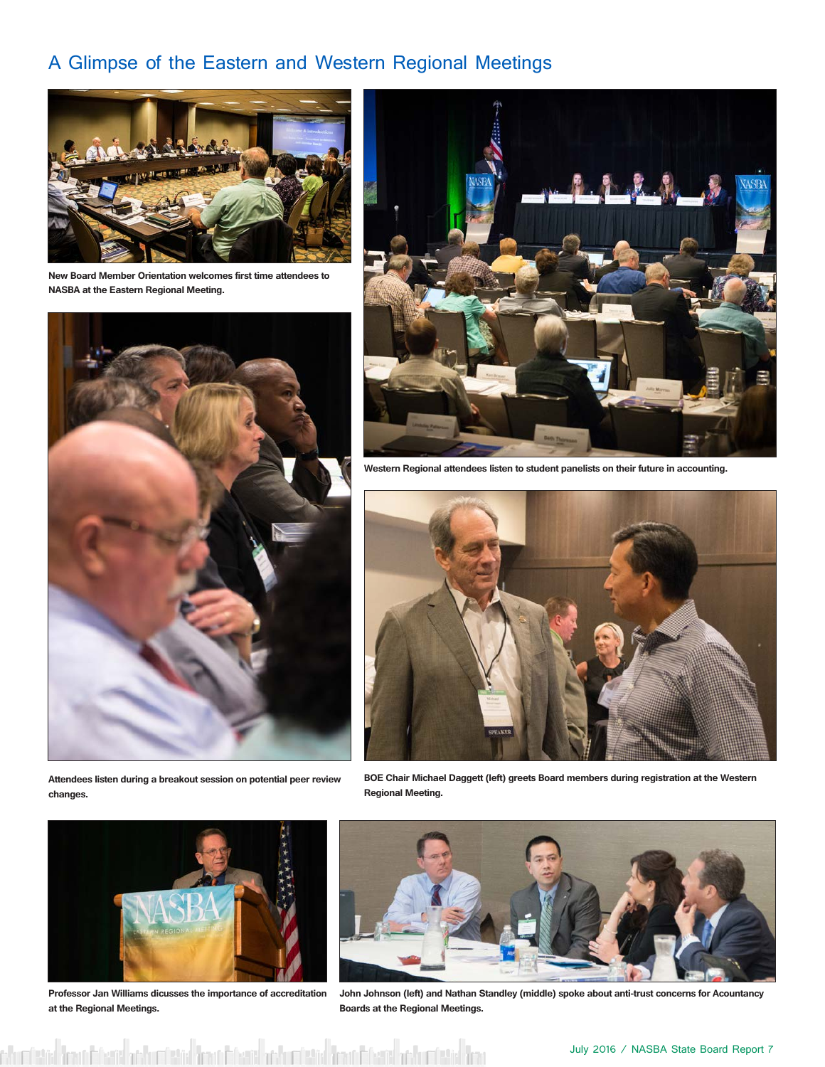### A Glimpse of the Eastern and Western Regional Meetings



**New Board Member Orientation welcomes first time attendees to NASBA at the Eastern Regional Meeting.** 



**Attendees listen during a breakout session on potential peer review changes.**



**Western Regional attendees listen to student panelists on their future in accounting.** 



**BOE Chair Michael Daggett (left) greets Board members during registration at the Western Regional Meeting.** 



**Professor Jan Williams dicusses the importance of accreditation at the Regional Meetings.**



**John Johnson (left) and Nathan Standley (middle) spoke about anti-trust concerns for Acountancy Boards at the Regional Meetings.**